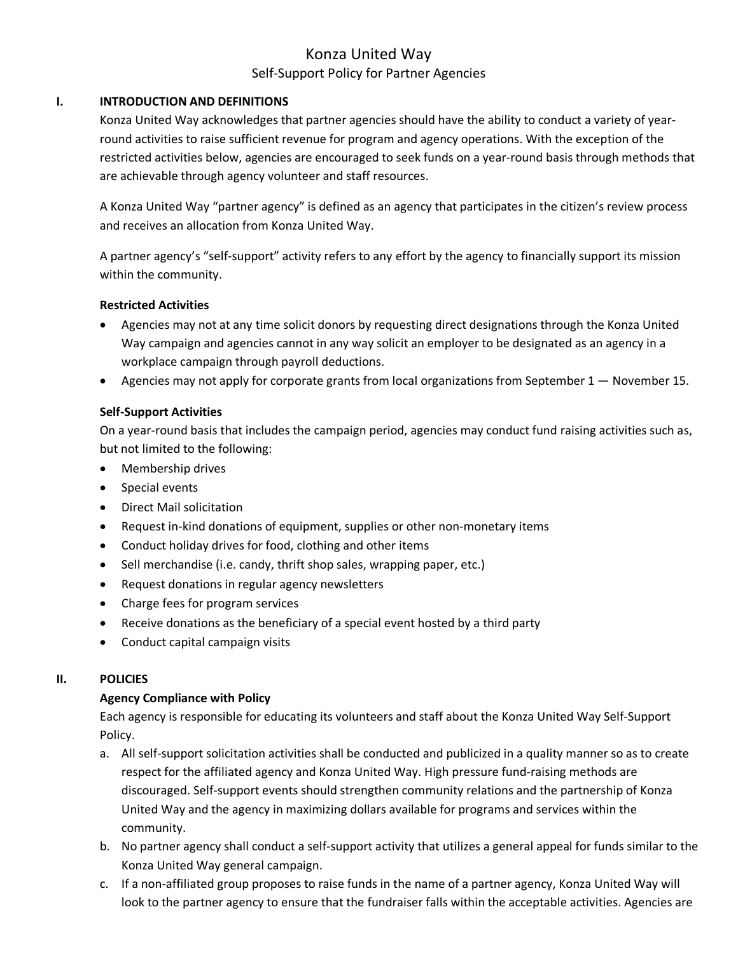# Konza United Way

# Self-Support Policy for Partner Agencies

## **I. INTRODUCTION AND DEFINITIONS**

Konza United Way acknowledges that partner agencies should have the ability to conduct a variety of yearround activities to raise sufficient revenue for program and agency operations. With the exception of the restricted activities below, agencies are encouraged to seek funds on a year-round basis through methods that are achievable through agency volunteer and staff resources.

A Konza United Way "partner agency" is defined as an agency that participates in the citizen's review process and receives an allocation from Konza United Way.

A partner agency's "self-support" activity refers to any effort by the agency to financially support its mission within the community.

## **Restricted Activities**

- Agencies may not at any time solicit donors by requesting direct designations through the Konza United Way campaign and agencies cannot in any way solicit an employer to be designated as an agency in a workplace campaign through payroll deductions.
- Agencies may not apply for corporate grants from local organizations from September  $1 -$  November 15.

# **Self-Support Activities**

On a year-round basis that includes the campaign period, agencies may conduct fund raising activities such as, but not limited to the following:

- Membership drives
- Special events
- Direct Mail solicitation
- Request in-kind donations of equipment, supplies or other non-monetary items
- Conduct holiday drives for food, clothing and other items
- Sell merchandise (i.e. candy, thrift shop sales, wrapping paper, etc.)
- Request donations in regular agency newsletters
- Charge fees for program services
- Receive donations as the beneficiary of a special event hosted by a third party
- Conduct capital campaign visits

# **II. POLICIES**

# **Agency Compliance with Policy**

Each agency is responsible for educating its volunteers and staff about the Konza United Way Self-Support Policy.

- a. All self-support solicitation activities shall be conducted and publicized in a quality manner so as to create respect for the affiliated agency and Konza United Way. High pressure fund-raising methods are discouraged. Self-support events should strengthen community relations and the partnership of Konza United Way and the agency in maximizing dollars available for programs and services within the community.
- b. No partner agency shall conduct a self-support activity that utilizes a general appeal for funds similar to the Konza United Way general campaign.
- c. If a non-affiliated group proposes to raise funds in the name of a partner agency, Konza United Way will look to the partner agency to ensure that the fundraiser falls within the acceptable activities. Agencies are